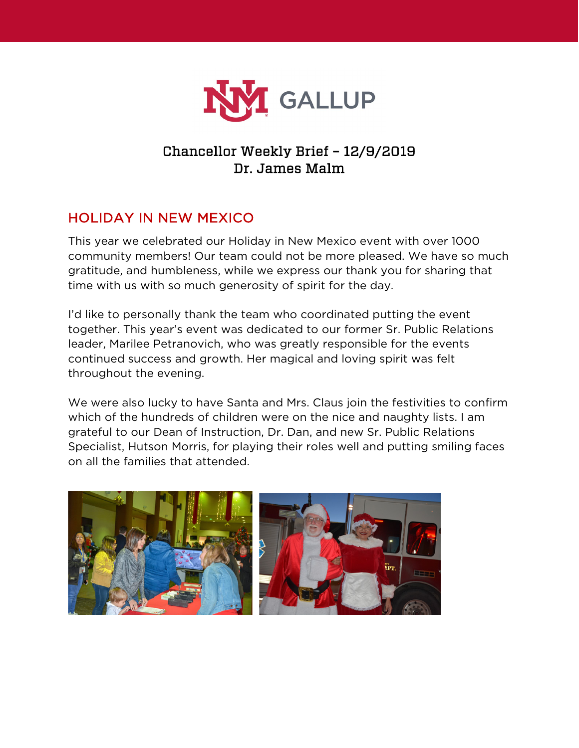

# Chancellor Weekly Brief – 12/9/2019 Dr. James Malm

# HOLIDAY IN NEW MEXICO

This year we celebrated our Holiday in New Mexico event with over 1000 community members! Our team could not be more pleased. We have so much gratitude, and humbleness, while we express our thank you for sharing that time with us with so much generosity of spirit for the day.

I'd like to personally thank the team who coordinated putting the event together. This year's event was dedicated to our former Sr. Public Relations leader, Marilee Petranovich, who was greatly responsible for the events continued success and growth. Her magical and loving spirit was felt throughout the evening.

We were also lucky to have Santa and Mrs. Claus join the festivities to confirm which of the hundreds of children were on the nice and naughty lists. I am grateful to our Dean of Instruction, Dr. Dan, and new Sr. Public Relations Specialist, Hutson Morris, for playing their roles well and putting smiling faces on all the families that attended.

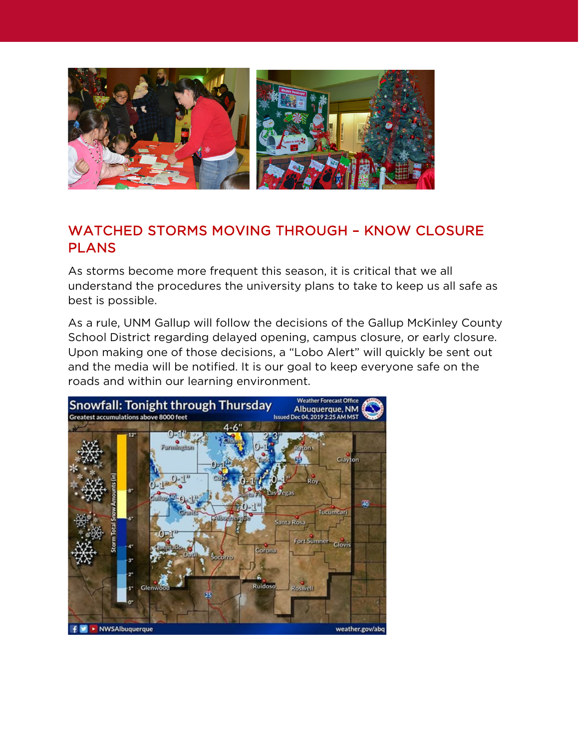

### WATCHED STORMS MOVING THROUGH – KNOW CLOSURE **PLANS**

As storms become more frequent this season, it is critical that we all understand the procedures the university plans to take to keep us all safe as best is possible.

As a rule, UNM Gallup will follow the decisions of the Gallup McKinley County School District regarding delayed opening, campus closure, or early closure. Upon making one of those decisions, a "Lobo Alert" will quickly be sent out and the media will be notified. It is our goal to keep everyone safe on the roads and within our learning environment.

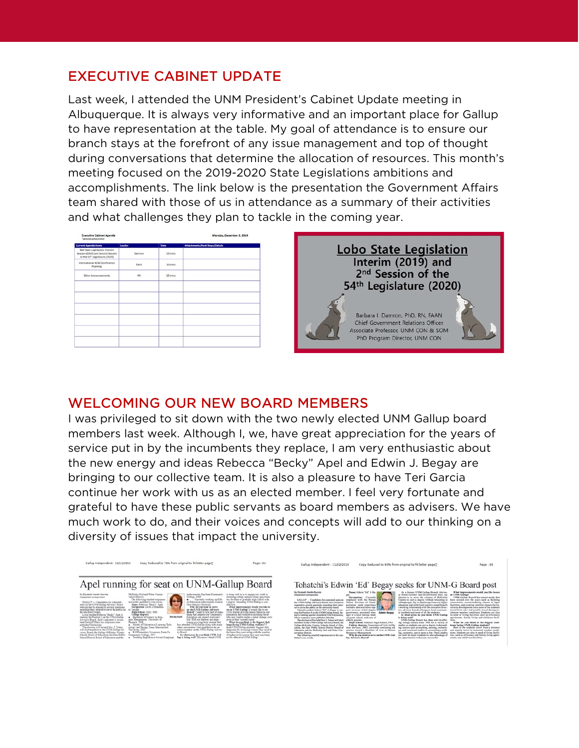### EXECUTIVE CABINET UPDATE

Last week, I attended the UNM President's Cabinet Update meeting in Albuquerque. It is always very informative and an important place for Gallup to have representation at the table. My goal of attendance is to ensure our branch stays at the forefront of any issue management and top of thought during conversations that determine the allocation of resources. This month's meeting focused on the 2019-2020 State Legislations ambitions and accomplishments. The link below is the presentation the Government Affairs team shared with those of us in attendance as a summary of their activities and what challenges they plan to tackle in the coming year.

| <b>Executive Cabinet Agenda</b><br>"denotes attachment                                                           |        |         | Monday, December 2, 2019              |  |  |
|------------------------------------------------------------------------------------------------------------------|--------|---------|---------------------------------------|--|--|
| <b>Current Agenda Items</b>                                                                                      | Leader | Time    | <b>Attachments/Next Steps/Details</b> |  |  |
| NM State Legislation: Interim<br>Session (2019) and Second Session<br>of the 54 <sup>th</sup> Legislature (2020) | Damron | 25 mins |                                       |  |  |
| International ACAC Conference<br>Planning                                                                        | Tami   | 10 mins |                                       |  |  |
| Other Announcements                                                                                              | All    | 25 mins |                                       |  |  |
|                                                                                                                  |        |         |                                       |  |  |
|                                                                                                                  |        |         |                                       |  |  |
|                                                                                                                  |        |         |                                       |  |  |
|                                                                                                                  |        |         |                                       |  |  |
|                                                                                                                  |        |         |                                       |  |  |

**Lobo State Legislation** Interim (2019) and 2<sup>nd</sup> Session of the 54<sup>th</sup> Legislature (2020) Barbara I, Damron, PhD, RN, FAAN **Chief Government Relations Officer** Associate Professor, UNM CON & SOM PhD Program Director, UNM CON

#### WELCOMING OUR NEW BOARD MEMBERS

I was privileged to sit down with the two newly elected UNM Gallup board members last week. Although I, we, have great appreciation for the years of service put in by the incumbents they replace, I am very enthusiastic about the new energy and ideas Rebecca "Becky" Apel and Edwin J. Begay are bringing to our collective team. It is also a pleasure to have Teri Garcia continue her work with us as an elected member. I feel very fortunate and grateful to have these public servants as board members as advisers. We have much work to do, and their voices and concepts will add to our thinking on a diversity of issues that impact the university.

Page: 02

|                                                                                                                                                                                                                                                                                                                                                                                                                                                                                                                                                                                                                                                | Apel running for seat on UNM-Gallup Board                                                                                                                                                                                                                                                                                                                                                                                                                                                            |                                                                                                                                                                                                                                                                                                                                                                                                                                                                                                                                        |                                                                                                                                                                                                                                                                                                                                                                                                                                                                                                                                                                                                                      |
|------------------------------------------------------------------------------------------------------------------------------------------------------------------------------------------------------------------------------------------------------------------------------------------------------------------------------------------------------------------------------------------------------------------------------------------------------------------------------------------------------------------------------------------------------------------------------------------------------------------------------------------------|------------------------------------------------------------------------------------------------------------------------------------------------------------------------------------------------------------------------------------------------------------------------------------------------------------------------------------------------------------------------------------------------------------------------------------------------------------------------------------------------------|----------------------------------------------------------------------------------------------------------------------------------------------------------------------------------------------------------------------------------------------------------------------------------------------------------------------------------------------------------------------------------------------------------------------------------------------------------------------------------------------------------------------------------------|----------------------------------------------------------------------------------------------------------------------------------------------------------------------------------------------------------------------------------------------------------------------------------------------------------------------------------------------------------------------------------------------------------------------------------------------------------------------------------------------------------------------------------------------------------------------------------------------------------------------|
| By Elizabeth Hardin-Burrola<br>Independent correspondent                                                                                                                                                                                                                                                                                                                                                                                                                                                                                                                                                                                       | McKinley Soil and Water Couser-<br>vation District.<br>The following emailed responses                                                                                                                                                                                                                                                                                                                                                                                                               | endorsement, San Juan Community<br>College, 2018<br>Currently working on Gift-                                                                                                                                                                                                                                                                                                                                                                                                                                                         | is doing well in is to engage our youth in<br>attending college and providing opportuni-<br>ties for them to graduate high school with                                                                                                                                                                                                                                                                                                                                                                                                                                                                               |
| GALLUP -- Candidates for contested<br>seats on the UNM-Gallup Advisory Board<br>were invited to respond to several questions<br>regarding their interest to serve the public on<br>the university board.<br>Local teacher Rebecca "Becky" Apel is<br>running for Position 5 on the UNM-Gallup<br>Advisory Board. Apel's opponent is incum-<br>bent Gerald O'Hara; his responses were<br>sublished Wednesday.<br>The election will be held Nov. 5. Voters.<br>will elect members to the UNM-Gallup Ad-<br>visory Board, the Gallup-McKinley County<br>Schools Board of Education, the Zuni Public<br>School District Board of Education and the | are in the candidate's corn words.<br>Name: Rebecca "Becky" Apel<br>Occupation: Level 2 Elements-<br>ry Teacher<br>High School: GED 1980<br>College degrees:<br><b>Becky Apel</b><br>Rachelors of Science in Rusi-<br>ness Management, University of<br>Phoenix, 2008<br>Mayter of Education e-Learning Tech-<br>nology and Design, Jones International<br>University, 2013<br>K-8 Elementary Licensure, Santa Fe<br>ry Board.<br>Constructiv College, 2017<br>Feaching English as a Second Language | ed Education endorsement, Central<br>New Mexico University<br>Why do you want to serve<br>on the UNM-Gallup Advisory<br>Board? I want to be a part of some-<br>thing that impacts our conspunity.<br>Education can impact everyone's<br>life. With my degrees and expe-<br>rience as a long-term student that<br>has attended UNM-Gallup along with many<br>other universities I feel qualified to be an<br>active member on the UNM-Gallup Adviso-<br>In what areas do you think UNM-Gal-<br>lup is doing well? The areas I think UNM | a degree. Attending UNM-Gallup is cost.<br>affartira.<br>What improvements would von like to<br>see at UNM-Gallup? I would like to see<br>UNM Gallup provide classes based on our<br>population and workforce including those<br>who may want to make a career chance, or to<br>grow in their current career.<br>What do von think is the biggest chal-<br>leage facing UNM-Gallap students? I<br>think UNM Gallup students' biggest chal-<br>lenge may be accessing courses they need at<br>the times they need along with the number<br>of higher-level courses they may need may<br>not be offered at UNM-Gallus. |

Gallup Independent - 10/11/2019 Copy Reduced to 71% from original to fit letter page

ndent - 11/02/2019 Copy Reduced to 66% from original to fit letter page] Tohatchi's Edwin 'Ed' Begay seeks for UNM-G Board post What impro<br>at UNM-Galls